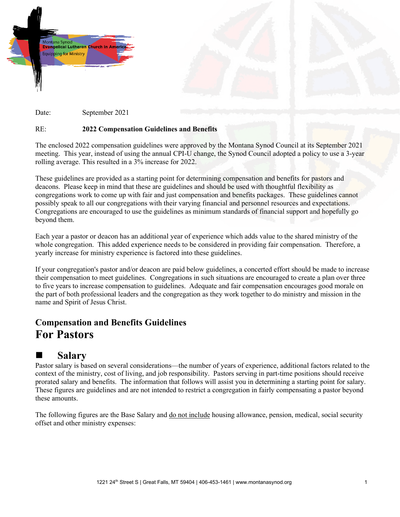



## RE: **2022 Compensation Guidelines and Benefits**

The enclosed 2022 compensation guidelines were approved by the Montana Synod Council at its September 2021 meeting. This year, instead of using the annual CPI-U change, the Synod Council adopted a policy to use a 3-year rolling average. This resulted in a 3% increase for 2022.

These guidelines are provided as a starting point for determining compensation and benefits for pastors and deacons. Please keep in mind that these are guidelines and should be used with thoughtful flexibility as congregations work to come up with fair and just compensation and benefits packages. These guidelines cannot possibly speak to all our congregations with their varying financial and personnel resources and expectations. Congregations are encouraged to use the guidelines as minimum standards of financial support and hopefully go beyond them.

Each year a pastor or deacon has an additional year of experience which adds value to the shared ministry of the whole congregation. This added experience needs to be considered in providing fair compensation. Therefore, a yearly increase for ministry experience is factored into these guidelines.

If your congregation's pastor and/or deacon are paid below guidelines, a concerted effort should be made to increase their compensation to meet guidelines. Congregations in such situations are encouraged to create a plan over three to five years to increase compensation to guidelines. Adequate and fair compensation encourages good morale on the part of both professional leaders and the congregation as they work together to do ministry and mission in the name and Spirit of Jesus Christ.

# **Compensation and Benefits Guidelines For Pastors**

# **Salary**

Pastor salary is based on several considerations—the number of years of experience, additional factors related to the context of the ministry, cost of living, and job responsibility. Pastors serving in part-time positions should receive prorated salary and benefits. The information that follows will assist you in determining a starting point for salary. These figures are guidelines and are not intended to restrict a congregation in fairly compensating a pastor beyond these amounts.

The following figures are the Base Salary and do not include housing allowance, pension, medical, social security offset and other ministry expenses: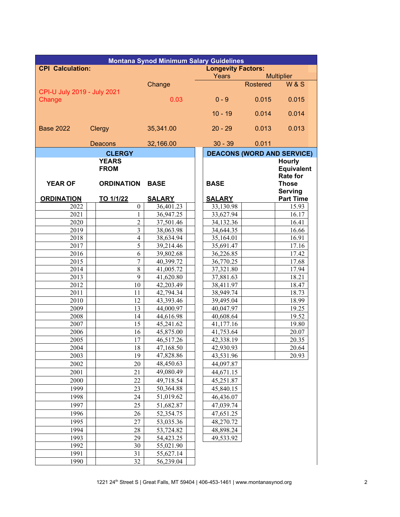| <b>Montana Synod Minimum Salary Guidelines</b> |                          |                           |       |                                   |                   |                                                   |  |  |
|------------------------------------------------|--------------------------|---------------------------|-------|-----------------------------------|-------------------|---------------------------------------------------|--|--|
| <b>CPI Calculation:</b>                        |                          | <b>Longevity Factors:</b> |       |                                   |                   |                                                   |  |  |
|                                                |                          |                           | Years |                                   | <b>Multiplier</b> |                                                   |  |  |
| CPI-U July 2019 - July 2021                    |                          | Change                    |       |                                   | <b>Rostered</b>   | <b>W&amp;S</b>                                    |  |  |
| Change                                         |                          | 0.03                      |       | $0 - 9$                           | 0.015             | 0.015                                             |  |  |
|                                                |                          |                           |       | $10 - 19$                         | 0.014             | 0.014                                             |  |  |
| <b>Base 2022</b>                               | <b>Clergy</b>            | 35,341.00                 |       | $20 - 29$                         | 0.013             | 0.013                                             |  |  |
|                                                | Deacons                  | 32,166.00                 |       | $30 - 39$                         | 0.011             |                                                   |  |  |
|                                                | <b>CLERGY</b>            |                           |       | <b>DEACONS (WORD AND SERVICE)</b> |                   |                                                   |  |  |
| <b>YEARS</b>                                   |                          |                           |       |                                   |                   | <b>Hourly</b>                                     |  |  |
|                                                | <b>FROM</b>              |                           |       |                                   |                   | <b>Equivalent</b>                                 |  |  |
| <b>YEAR OF</b>                                 | <b>ORDINATION</b>        | <b>BASE</b>               |       | <b>BASE</b>                       |                   | <b>Rate for</b><br><b>Those</b><br><b>Serving</b> |  |  |
| <b>ORDINATION</b>                              | TO 1/1/22                | <b>SALARY</b>             |       | <b>SALARY</b>                     |                   | <b>Part Time</b>                                  |  |  |
| 2022                                           | $\mathbf{0}$             | 36,401.23                 |       | 33,130.98                         |                   | 15.93                                             |  |  |
| 2021                                           | 1                        | 36,947.25                 |       | 33,627.94                         |                   | 16.17                                             |  |  |
| 2020                                           | $\overline{c}$           | 37,501.46                 |       | 34,132.36                         |                   | 16.41                                             |  |  |
| 2019                                           | 3                        | 38,063.98                 |       | 34,644.35                         |                   | 16.66                                             |  |  |
| 2018                                           | $\overline{\mathcal{L}}$ | 38,634.94                 |       | 35,164.01                         |                   | 16.91                                             |  |  |
| 2017                                           | 5                        | 39,214.46                 |       | 35,691.47                         |                   | 17.16                                             |  |  |
| 2016                                           | 6                        | 39,802.68                 |       | 36,226.85                         |                   | 17.42                                             |  |  |
| 2015                                           | 7                        | 40,399.72                 |       | 36,770.25                         |                   | 17.68                                             |  |  |
| 2014                                           | $\overline{8}$           | 41,005.72                 |       | 37,321.80                         |                   | 17.94                                             |  |  |
| 2013                                           | $\overline{9}$           | 41,620.80                 |       | 37,881.63                         |                   | 18.21                                             |  |  |
| 2012                                           | 10                       | 42,203.49                 |       | 38,411.97                         |                   | 18.47                                             |  |  |
| 2011                                           | 11                       | 42,794.34                 |       | 38,949.74                         |                   | 18.73                                             |  |  |
| 2010                                           | 12                       | 43,393.46                 |       | 39,495.04                         |                   | 18.99                                             |  |  |
| 2009                                           | 13                       | 44,000.97                 |       | 40,047.97                         |                   | 19.25                                             |  |  |
| 2008                                           | 14                       | 44,616.98                 |       | 40,608.64                         |                   | 19.52                                             |  |  |
| 2007                                           | 15                       | 45,241.62                 |       | 41,177.16                         |                   | 19.80                                             |  |  |
| 2006                                           | 16                       | 45,875.00                 |       | 41,753.64                         |                   | 20.07                                             |  |  |
| 2005                                           | 17                       | 46,517.26                 |       | 42,338.19                         |                   | 20.35                                             |  |  |
| 2004                                           | 18                       | 47,168.50                 |       | 42,930.93                         |                   | 20.64                                             |  |  |
| 2003                                           | 19                       | 47,828.86                 |       | 43,531.96                         |                   | 20.93                                             |  |  |
| 2002                                           | 20                       | 48,450.63                 |       | 44,097.87                         |                   |                                                   |  |  |
| 2001                                           | 21                       | 49,080.49                 |       | 44,671.15                         |                   |                                                   |  |  |
| 2000                                           | 22                       | 49,718.54                 |       | 45,251.87                         |                   |                                                   |  |  |
| 1999                                           | 23                       | 50,364.88                 |       | 45,840.15                         |                   |                                                   |  |  |
| 1998                                           | 24                       | 51,019.62                 |       | 46,436.07                         |                   |                                                   |  |  |
| 1997                                           | 25                       | 51,682.87                 |       | 47,039.74                         |                   |                                                   |  |  |
| 1996                                           | 26                       | 52,354.75                 |       | 47,651.25                         |                   |                                                   |  |  |
| 1995                                           | 27                       | 53,035.36                 |       | 48,270.72                         |                   |                                                   |  |  |
| 1994                                           | 28                       | 53,724.82                 |       | 48,898.24                         |                   |                                                   |  |  |
| 1993                                           | 29                       | 54,423.25                 |       | 49,533.92                         |                   |                                                   |  |  |
| 1992                                           | 30                       | 55,021.90                 |       |                                   |                   |                                                   |  |  |
| 1991                                           | 31                       | 55,627.14                 |       |                                   |                   |                                                   |  |  |
| 1990                                           | 32                       | 56,239.04                 |       |                                   |                   |                                                   |  |  |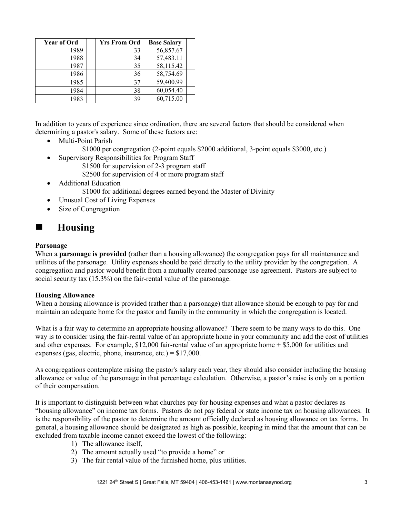| <b>Year of Ord</b> | <b>Yrs From Ord</b> | <b>Base Salary</b> |  |
|--------------------|---------------------|--------------------|--|
| 1989               | 33                  | 56,857.67          |  |
| 1988               | 34                  | 57,483.11          |  |
| 1987               | 35                  | 58,115.42          |  |
| 1986               | 36                  | 58,754.69          |  |
| 1985               | 37                  | 59,400.99          |  |
| 1984               | 38                  | 60,054.40          |  |
| 1983               | 39                  | 60,715.00          |  |

In addition to years of experience since ordination, there are several factors that should be considered when determining a pastor's salary. Some of these factors are:

- Multi-Point Parish
	- \$1000 per congregation (2-point equals \$2000 additional, 3-point equals \$3000, etc.)
- Supervisory Responsibilities for Program Staff
	- \$1500 for supervision of 2-3 program staff \$2500 for supervision of 4 or more program staff
- Additional Education \$1000 for additional degrees earned beyond the Master of Divinity
- Unusual Cost of Living Expenses
- Size of Congregation

# **Housing**

### **Parsonage**

When a **parsonage is provided** (rather than a housing allowance) the congregation pays for all maintenance and utilities of the parsonage. Utility expenses should be paid directly to the utility provider by the congregation. A congregation and pastor would benefit from a mutually created parsonage use agreement. Pastors are subject to social security tax (15.3%) on the fair-rental value of the parsonage.

### **Housing Allowance**

When a housing allowance is provided (rather than a parsonage) that allowance should be enough to pay for and maintain an adequate home for the pastor and family in the community in which the congregation is located.

What is a fair way to determine an appropriate housing allowance? There seem to be many ways to do this. One way is to consider using the fair-rental value of an appropriate home in your community and add the cost of utilities and other expenses. For example, \$12,000 fair-rental value of an appropriate home + \$5,000 for utilities and expenses (gas, electric, phone, insurance, etc.) =  $$17,000$ .

As congregations contemplate raising the pastor's salary each year, they should also consider including the housing allowance or value of the parsonage in that percentage calculation. Otherwise, a pastor's raise is only on a portion of their compensation.

It is important to distinguish between what churches pay for housing expenses and what a pastor declares as "housing allowance" on income tax forms. Pastors do not pay federal or state income tax on housing allowances. It is the responsibility of the pastor to determine the amount officially declared as housing allowance on tax forms. In general, a housing allowance should be designated as high as possible, keeping in mind that the amount that can be excluded from taxable income cannot exceed the lowest of the following:

- 1) The allowance itself,
- 2) The amount actually used "to provide a home" or
- 3) The fair rental value of the furnished home, plus utilities.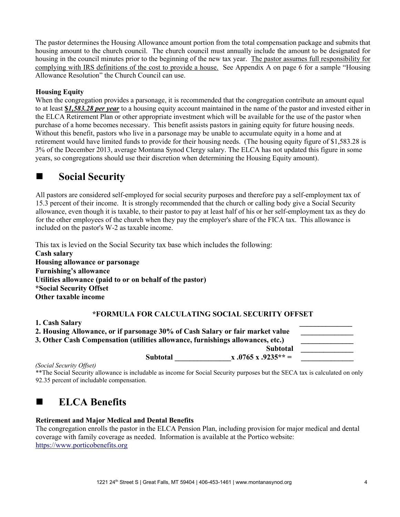The pastor determines the Housing Allowance amount portion from the total compensation package and submits that housing amount to the church council. The church council must annually include the amount to be designated for housing in the council minutes prior to the beginning of the new tax year. The pastor assumes full responsibility for complying with IRS definitions of the cost to provide a house. See Appendix A on page 6 for a sample "Housing Allowance Resolution" the Church Council can use.

## **Housing Equity**

When the congregation provides a parsonage, it is recommended that the congregation contribute an amount equal to at least **\$***1,583.28 per year* to a housing equity account maintained in the name of the pastor and invested either in the ELCA Retirement Plan or other appropriate investment which will be available for the use of the pastor when purchase of a home becomes necessary. This benefit assists pastors in gaining equity for future housing needs. Without this benefit, pastors who live in a parsonage may be unable to accumulate equity in a home and at retirement would have limited funds to provide for their housing needs. (The housing equity figure of \$1,583.28 is 3% of the December 2013, average Montana Synod Clergy salary. The ELCA has not updated this figure in some years, so congregations should use their discretion when determining the Housing Equity amount).

# ■ Social Security

All pastors are considered self-employed for social security purposes and therefore pay a self-employment tax of 15.3 percent of their income. It is strongly recommended that the church or calling body give a Social Security allowance, even though it is taxable, to their pastor to pay at least half of his or her self-employment tax as they do for the other employees of the church when they pay the employer's share of the FICA tax. This allowance is included on the pastor's W-2 as taxable income.

This tax is levied on the Social Security tax base which includes the following:

**Cash salary Housing allowance or parsonage Furnishing's allowance Utilities allowance (paid to or on behalf of the pastor) \*Social Security Offset Other taxable income** 

# **\*FORMULA FOR CALCULATING SOCIAL SECURITY OFFSET**

| 2. Housing Allowance, or if parsonage 30% of Cash Salary or fair market value  |                 |                     |  |
|--------------------------------------------------------------------------------|-----------------|---------------------|--|
| 3. Other Cash Compensation (utilities allowance, furnishings allowances, etc.) |                 |                     |  |
|                                                                                |                 | <b>Subtotal</b>     |  |
| $\sim$ $\sim$ $\sim$ $\sim$ $\sim$ $\sim$ $\sim$ $\sim$                        | <b>Subtotal</b> | $x.0765 x.9235** =$ |  |

*(Social Security Offset)* 

**1. Cash Salary \_\_\_\_\_\_\_\_\_\_\_\_\_\_** 

\*\*The Social Security allowance is includable as income for Social Security purposes but the SECA tax is calculated on only 92.35 percent of includable compensation.

# **ELCA Benefits**

### **Retirement and Major Medical and Dental Benefits**

The congregation enrolls the pastor in the ELCA Pension Plan, including provision for major medical and dental coverage with family coverage as needed. Information is available at the Portico website: [https://www.porticobenefits.org](https://www.porticobenefits.org/)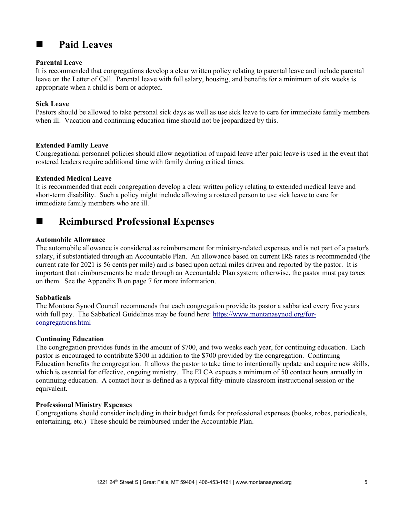# **Paid Leaves**

#### **Parental Leave**

It is recommended that congregations develop a clear written policy relating to parental leave and include parental leave on the Letter of Call. Parental leave with full salary, housing, and benefits for a minimum of six weeks is appropriate when a child is born or adopted.

### **Sick Leave**

Pastors should be allowed to take personal sick days as well as use sick leave to care for immediate family members when ill. Vacation and continuing education time should not be jeopardized by this.

#### **Extended Family Leave**

Congregational personnel policies should allow negotiation of unpaid leave after paid leave is used in the event that rostered leaders require additional time with family during critical times.

#### **Extended Medical Leave**

It is recommended that each congregation develop a clear written policy relating to extended medical leave and short-term disability. Such a policy might include allowing a rostered person to use sick leave to care for immediate family members who are ill.

# **Reimbursed Professional Expenses**

#### **Automobile Allowance**

The automobile allowance is considered as reimbursement for ministry-related expenses and is not part of a pastor's salary, if substantiated through an Accountable Plan. An allowance based on current IRS rates is recommended (the current rate for 2021 is 56 cents per mile) and is based upon actual miles driven and reported by the pastor. It is important that reimbursements be made through an Accountable Plan system; otherwise, the pastor must pay taxes on them. See the Appendix B on page 7 for more information.

### **Sabbaticals**

The Montana Synod Council recommends that each congregation provide its pastor a sabbatical every five years with full pay. The Sabbatical Guidelines may be found here: [https://www.montanasynod.org/for](https://www.montanasynod.org/for-congregations.html)[congregations.html](https://www.montanasynod.org/for-congregations.html)

#### **Continuing Education**

The congregation provides funds in the amount of \$700, and two weeks each year, for continuing education. Each pastor is encouraged to contribute \$300 in addition to the \$700 provided by the congregation. Continuing Education benefits the congregation. It allows the pastor to take time to intentionally update and acquire new skills, which is essential for effective, ongoing ministry. The ELCA expects a minimum of 50 contact hours annually in continuing education. A contact hour is defined as a typical fifty-minute classroom instructional session or the equivalent.

#### **Professional Ministry Expenses**

Congregations should consider including in their budget funds for professional expenses (books, robes, periodicals, entertaining, etc.) These should be reimbursed under the Accountable Plan.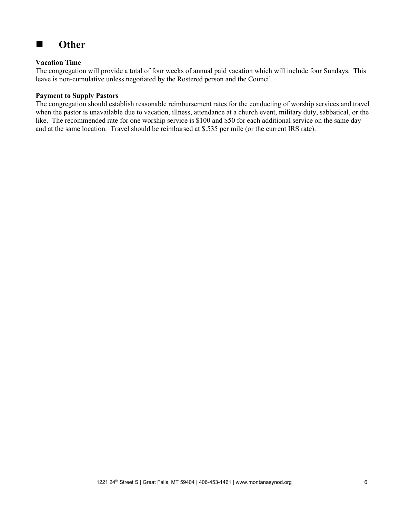

## **Vacation Time**

The congregation will provide a total of four weeks of annual paid vacation which will include four Sundays. This leave is non-cumulative unless negotiated by the Rostered person and the Council.

#### **Payment to Supply Pastors**

The congregation should establish reasonable reimbursement rates for the conducting of worship services and travel when the pastor is unavailable due to vacation, illness, attendance at a church event, military duty, sabbatical, or the like. The recommended rate for one worship service is \$100 and \$50 for each additional service on the same day and at the same location. Travel should be reimbursed at \$.535 per mile (or the current IRS rate).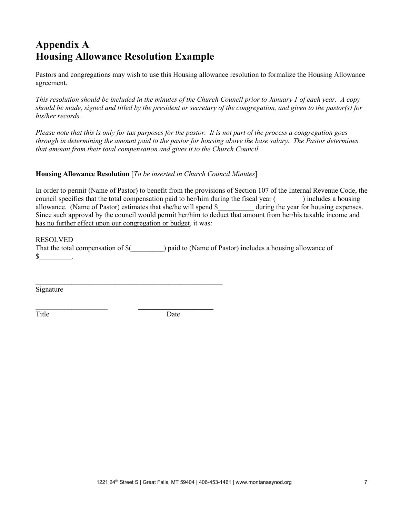# **Appendix A Housing Allowance Resolution Example**

Pastors and congregations may wish to use this Housing allowance resolution to formalize the Housing Allowance agreement.

*This resolution should be included in the minutes of the Church Council prior to January 1 of each year. A copy should be made, signed and titled by the president or secretary of the congregation, and given to the pastor(s) for his/her records.*

*Please note that this is only for tax purposes for the pastor. It is not part of the process a congregation goes through in determining the amount paid to the pastor for housing above the base salary. The Pastor determines that amount from their total compensation and gives it to the Church Council.* 

## **Housing Allowance Resolution** [*To be inserted in Church Council Minutes*]

\_\_\_\_\_\_\_\_\_\_\_\_\_\_\_\_\_\_\_\_\_\_\_\_\_\_\_\_\_\_\_\_\_\_\_\_\_\_\_\_\_\_\_\_\_\_\_\_\_\_\_\_

 $\frac{1}{2}$  , and the set of the set of the set of the set of the set of the set of the set of the set of the set of the set of the set of the set of the set of the set of the set of the set of the set of the set of the set

In order to permit (Name of Pastor) to benefit from the provisions of Section 107 of the Internal Revenue Code, the council specifies that the total compensation paid to her/him during the fiscal year () includes a housing allowance. (Name of Pastor) estimates that she/he will spend \$ during the year for housing expenses. Since such approval by the council would permit her/him to deduct that amount from her/his taxable income and has no further effect upon our congregation or budget, it was:

#### RESOLVED

That the total compensation of  $\$(\)$  paid to (Name of Pastor) includes a housing allowance of  $\begin{array}{ccc} \text{S} & \text{ } \end{array}$ .

Signature

Title Date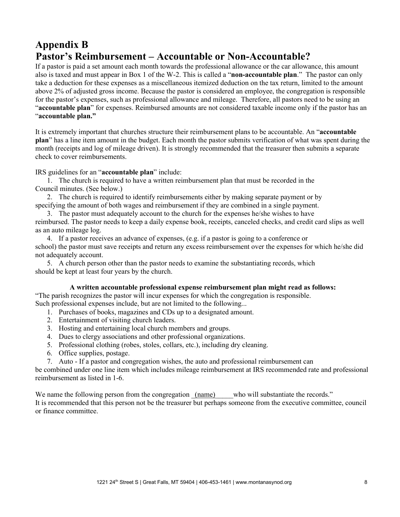# **Appendix B Pastor's Reimbursement – Accountable or Non-Accountable?**

If a pastor is paid a set amount each month towards the professional allowance or the car allowance, this amount also is taxed and must appear in Box 1 of the W-2. This is called a "**non-accountable plan**." The pastor can only take a deduction for these expenses as a miscellaneous itemized deduction on the tax return, limited to the amount above 2% of adjusted gross income. Because the pastor is considered an employee, the congregation is responsible for the pastor's expenses, such as professional allowance and mileage. Therefore, all pastors need to be using an "**accountable plan**" for expenses. Reimbursed amounts are not considered taxable income only if the pastor has an "**accountable plan."**

It is extremely important that churches structure their reimbursement plans to be accountable. An "**accountable plan**" has a line item amount in the budget. Each month the pastor submits verification of what was spent during the month (receipts and log of mileage driven). It is strongly recommended that the treasurer then submits a separate check to cover reimbursements.

IRS guidelines for an "**accountable plan**" include:

1. The church is required to have a written reimbursement plan that must be recorded in the Council minutes. (See below.)

2. The church is required to identify reimbursements either by making separate payment or by specifying the amount of both wages and reimbursement if they are combined in a single payment.

3. The pastor must adequately account to the church for the expenses he/she wishes to have reimbursed. The pastor needs to keep a daily expense book, receipts, canceled checks, and credit card slips as well as an auto mileage log.

4. If a pastor receives an advance of expenses, (e.g. if a pastor is going to a conference or school) the pastor must save receipts and return any excess reimbursement over the expenses for which he/she did not adequately account.

5. A church person other than the pastor needs to examine the substantiating records, which should be kept at least four years by the church.

### **A written accountable professional expense reimbursement plan might read as follows:**

"The parish recognizes the pastor will incur expenses for which the congregation is responsible. Such professional expenses include, but are not limited to the following...

- 1. Purchases of books, magazines and CDs up to a designated amount.
- 2. Entertainment of visiting church leaders.
- 3. Hosting and entertaining local church members and groups.
- 4. Dues to clergy associations and other professional organizations.
- 5. Professional clothing (robes, stoles, collars, etc.), including dry cleaning.
- 6. Office supplies, postage.
- 7. Auto If a pastor and congregation wishes, the auto and professional reimbursement can

be combined under one line item which includes mileage reimbursement at IRS recommended rate and professional reimbursement as listed in 1-6.

We name the following person from the congregation  $(\text{name})$  who will substantiate the records." It is recommended that this person not be the treasurer but perhaps someone from the executive committee, council or finance committee.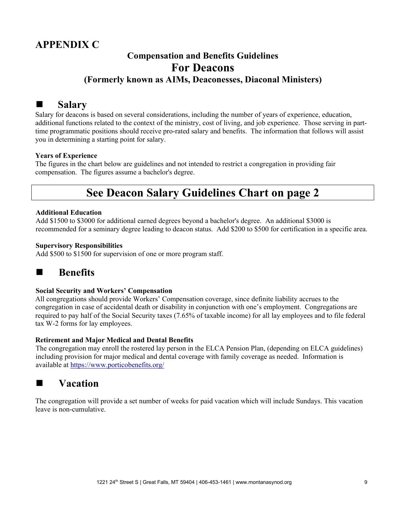# **APPENDIX C**

# **Compensation and Benefits Guidelines For Deacons (Formerly known as AIMs, Deaconesses, Diaconal Ministers)**

# **Salary**

Salary for deacons is based on several considerations, including the number of years of experience, education, additional functions related to the context of the ministry, cost of living, and job experience. Those serving in parttime programmatic positions should receive pro-rated salary and benefits. The information that follows will assist you in determining a starting point for salary.

## **Years of Experience**

The figures in the chart below are guidelines and not intended to restrict a congregation in providing fair compensation. The figures assume a bachelor's degree.

# **See Deacon Salary Guidelines Chart on page 2**

### **Additional Education**

Add \$1500 to \$3000 for additional earned degrees beyond a bachelor's degree. An additional \$3000 is recommended for a seminary degree leading to deacon status. Add \$200 to \$500 for certification in a specific area.

## **Supervisory Responsibilities**

Add \$500 to \$1500 for supervision of one or more program staff.



### **Social Security and Workers' Compensation**

All congregations should provide Workers' Compensation coverage, since definite liability accrues to the congregation in case of accidental death or disability in conjunction with one's employment. Congregations are required to pay half of the Social Security taxes (7.65% of taxable income) for all lay employees and to file federal tax W-2 forms for lay employees.

#### **Retirement and Major Medical and Dental Benefits**

The congregation may enroll the rostered lay person in the ELCA Pension Plan, (depending on ELCA guidelines) including provision for major medical and dental coverage with family coverage as needed. Information is available at <https://www.porticobenefits.org/>



The congregation will provide a set number of weeks for paid vacation which will include Sundays. This vacation leave is non-cumulative.